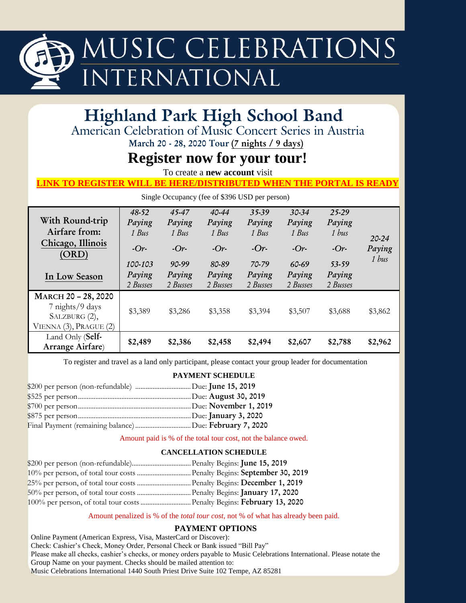

### **Highland Park High School Band**

American Celebration of Music Concert Series in Austria

**March 20 - 28, 2020 Tour (7 nights / 9 days)**

### **Register now for your tour!**

To create a **new account** visit

#### **LINK TO REGISTER WILL BE HERE/DISTRIBUTED WHEN THE PORTAL IS READY**

Single Occupancy (fee of \$396 USD per person)

| With Round-trip<br>Airfare from:                                                       | $48 - 52$<br>Paying<br>1 Bus | 45-47<br>Paying<br>1 Bus | $40 - 44$<br>Paying<br>1 Bus | 35-39<br>Paying<br>1 Bus | $30 - 34$<br>Paying<br>1 Bus | 25-29<br>Paying<br>1 bus |                                        |
|----------------------------------------------------------------------------------------|------------------------------|--------------------------|------------------------------|--------------------------|------------------------------|--------------------------|----------------------------------------|
| Chicago, Illinois<br>(ORD)                                                             | $-Or-$                       | $-Or-$                   | $-Or-$                       | $-Or-$                   | $-Or-$                       | $-Or-$                   | $20 - 24$<br>Paying<br>$1 \text{ bus}$ |
|                                                                                        | 100-103                      | 90-99                    | 80-89                        | 70-79                    | 60-69                        | 53-59                    |                                        |
| In Low Season                                                                          | Paying                       | Paying                   | Paying                       | Paying                   | Paying                       | Paying                   |                                        |
|                                                                                        | 2 Busses                     | 2 Busses                 | 2 Busses                     | 2 Busses                 | 2 Busses                     | 2 Busses                 |                                        |
| MARCH 20 - 28, 2020<br>7 nights/9 days<br>SALZBURG (2),<br>VIENNA $(3)$ , PRAGUE $(2)$ | \$3,389                      | \$3,286                  | \$3,358                      | \$3,394                  | \$3,507                      | \$3,688                  | \$3,862                                |
| Land Only (Self-<br>Arrange Airfare)                                                   | \$2,489                      | \$2,386                  | \$2,458                      | \$2,494                  | \$2,607                      | \$2,788                  | \$2,962                                |

To register and travel as a land only participant, please contact your group leader for documentation

#### **PAYMENT SCHEDULE**

Amount paid is % of the total tour cost, not the balance owed.

#### **CANCELLATION SCHEDULE**

| 100% per person, of total tour costs  Penalty Begins: February 13, 2020 |  |
|-------------------------------------------------------------------------|--|

#### Amount penalized is % of the *total tour cost*, not % of what has already been paid.

#### **PAYMENT OPTIONS**

Online Payment (American Express, Visa, MasterCard or Discover): Check: Cashier's Check, Money Order, Personal Check or Bank issued "Bill Pay" Please make all checks, cashier's checks, or money orders payable to Music Celebrations International. Please notate the Group Name on your payment. Checks should be mailed attention to: Music Celebrations International 1440 South Priest Drive Suite 102 Tempe, AZ 85281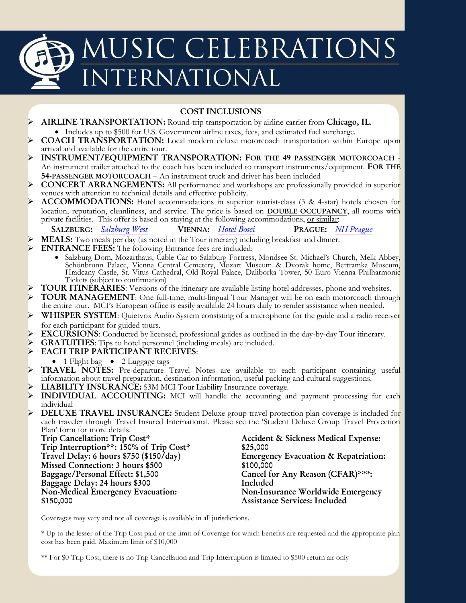# MUSIC CELEBRATIONS INTERNATIONAL

#### **COST INCLUSIONS**

- **AIRLINE TRANSPORTATION:** Round-trip transportation by airline carrier from **Chicago, IL**. Includes up to \$500 for U.S. Government airline taxes, fees, and estimated fuel surcharge.
- **COACH TRANSPORTATION:** Local modern deluxe motorcoach transportation within Europe upon arrival and available for the entire tour.
- **INSTRUMENT/EQUIPMENT TRANSPORATION: FOR THE 49 PASSENGER MOTORCOACH** An instrument trailer attached to the coach has been included to transport instruments/equipment. **FOR THE 54-PASSENGER MOTORCOACH** – An instrument truck and driver has been included
- **CONCERT ARRANGEMENTS:** All performance and workshops are professionally provided in superior venues with attention to technical details and effective publicity.
- **ACCOMMODATIONS:** Hotel accommodations in superior tourist-class (3 & 4-star) hotels chosen for location, reputation, cleanliness, and service. The price is based on **DOUBLE OCCUPANCY**, all rooms with private facilities. This offer is based on staying at the following accommodations, or similar:

```
SALZBURG: Salzburg West VIENNA: Hotel Bosei PRAGUE: NH Prague
```
- **MEALS:** Two meals per day (as noted in the Tour itinerary) including breakfast and dinner.
- **ENTRANCE FEES:** The following Entrance fees are included:
	- Salzburg Dom, Mozarthaus, Cable Car to Salzburg Fortress, Mondsee St. Michael's Church, Melk Abbey, Schönbrunn Palace, Vienna Central Cemetery, Mozart Museum & Dvorak home, Bertramka Museum, Hradcany Castle, St. Vitus Cathedral, Old Royal Palace, Daliborka Tower, 50 Euro Vienna Philharmonic Tickets (subject to confirmation)
- **TOUR ITINERARIES**: Versions of the itinerary are available listing hotel addresses, phone and websites.
- **TOUR MANAGEMENT**: One full-time, multi-lingual Tour Manager will be on each motorcoach through the entire tour. MCI's European office is easily available 24 hours daily to render assistance when needed.
- **WHISPER SYSTEM:** Quietvox Audio System consisting of a microphone for the guide and a radio receiver for each participant for guided tours.
- **EXCURSIONS**: Conducted by licensed, professional guides as outlined in the day-by-day Tour itinerary.
- **GRATUITIES**: Tips to hotel personnel (including meals) are included.
- **EACH TRIP PARTICIPANT RECEIVES**:
- 1 Flight bag  $\bullet$  2 Luggage tags
- TRAVEL NOTES: Pre-departure Travel Notes are available to each participant containing useful information about travel preparation, destination information, useful packing and cultural suggestions.
- **LIABILITY INSURANCE:** \$3M MCI Tour Liability Insurance coverage.
- **INDIVIDUAL ACCOUNTING:** MCI will handle the accounting and payment processing for each individual
- **DELUXE TRAVEL INSURANCE:** Student Deluxe group travel protection plan coverage is included for each traveler through Travel Insured International. Please see the 'Student Deluxe Group Travel Protection Plan' form for more details.

**Trip Cancellation: Trip Cost\* Trip Interruption\*\*: 150% of Trip Cost\* Travel Delay: 6 hours \$750 (\$150/day) Missed Connection: 3 hours \$500 Baggage/Personal Effect: \$1,500 Baggage Delay: 24 hours \$300 Non-Medical Emergency Evacuation: \$150,000**

**Accident & Sickness Medical Expense: \$25,000 Emergency Evacuation & Repatriation: \$100,000 Cancel for Any Reason (CFAR)\*\*\*: Included Non-Insurance Worldwide Emergency Assistance Services: Included**

Coverages may vary and not all coverage is available in all jurisdictions.

\* Up to the lesser of the Trip Cost paid or the limit of Coverage for which benefits are requested and the appropriate plan cost has been paid. Maximum limit of \$10,000

\*\* For \$0 Trip Cost, there is no Trip Cancellation and Trip Interruption is limited to \$500 return air only